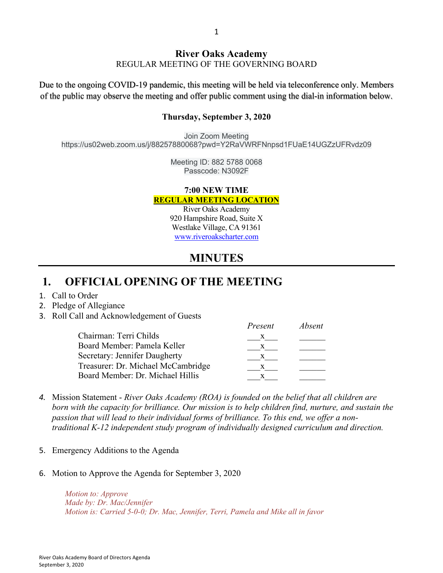#### **River Oaks Academy** REGULAR MEETING OF THE GOVERNING BOARD

Due to the ongoing COVID-19 pandemic, this meeting will be held via teleconference only. Members of the public may observe the meeting and offer public comment using the dial-in information below.

#### **Thursday, September 3, 2020**

Join Zoom Meeting https://us02web.zoom.us/j/88257880068?pwd=Y2RaVWRFNnpsd1FUaE14UGZzUFRvdz09

> Meeting ID: 882 5788 0068 Passcode: N3092F

#### **7:00 NEW TIME REGULAR MEETING LOCATION**

River Oaks Academy 920 Hampshire Road, Suite X Westlake Village, CA 91361 www.riveroakscharter.com

## **MINUTES**

*Present Absent*

## **1. OFFICIAL OPENING OF THE MEETING**

- 1. Call to Order
- 2. Pledge of Allegiance
- 3. Roll Call and Acknowledgement of Guests

|                                    | rresent      | Apsent |
|------------------------------------|--------------|--------|
| Chairman: Terri Childs             | $\bf{X}$     |        |
| Board Member: Pamela Keller        | X            |        |
| Secretary: Jennifer Daugherty      | $\mathbf{x}$ |        |
| Treasurer: Dr. Michael McCambridge | X            |        |
| Board Member: Dr. Michael Hillis   |              |        |
|                                    |              |        |

- *4.* Mission Statement *River Oaks Academy (ROA) is founded on the belief that all children are born with the capacity for brilliance. Our mission is to help children find, nurture, and sustain the passion that will lead to their individual forms of brilliance. To this end, we offer a nontraditional K-12 independent study program of individually designed curriculum and direction.*
- 5. Emergency Additions to the Agenda
- 6. Motion to Approve the Agenda for September 3, 2020

*Motion to: Approve Made by: Dr. Mac/Jennifer Motion is: Carried 5-0-0; Dr. Mac, Jennifer, Terri, Pamela and Mike all in favor*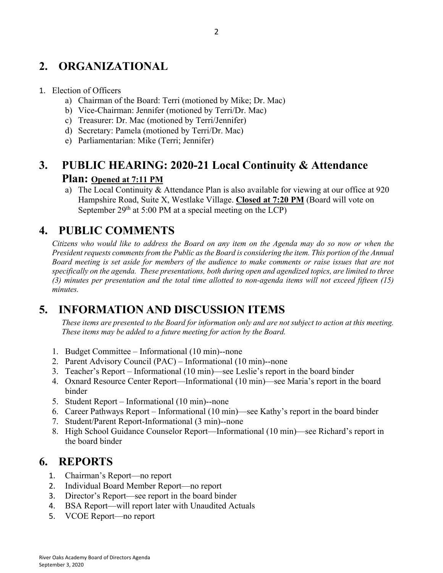# **2. ORGANIZATIONAL**

#### 1. Election of Officers

- a) Chairman of the Board: Terri (motioned by Mike; Dr. Mac)
- b) Vice-Chairman: Jennifer (motioned by Terri/Dr. Mac)
- c) Treasurer: Dr. Mac (motioned by Terri/Jennifer)
- d) Secretary: Pamela (motioned by Terri/Dr. Mac)
- e) Parliamentarian: Mike (Terri; Jennifer)

## **3. PUBLIC HEARING: 2020-21 Local Continuity & Attendance**

#### **Plan: Opened at 7:11 PM**

a) The Local Continuity & Attendance Plan is also available for viewing at our office at 920 Hampshire Road, Suite X, Westlake Village. **Closed at 7:20 PM** (Board will vote on September  $29<sup>th</sup>$  at 5:00 PM at a special meeting on the LCP)

### **4. PUBLIC COMMENTS**

*Citizens who would like to address the Board on any item on the Agenda may do so now or when the President requests comments from the Public as the Board is considering the item. This portion of the Annual Board meeting is set aside for members of the audience to make comments or raise issues that are not specifically on the agenda. These presentations, both during open and agendized topics, are limited to three (3) minutes per presentation and the total time allotted to non-agenda items will not exceed fifteen (15) minutes.*

## **5. INFORMATION AND DISCUSSION ITEMS**

*These items are presented to the Board for information only and are not subject to action at this meeting. These items may be added to a future meeting for action by the Board.*

- 1. Budget Committee Informational (10 min)--none
- 2. Parent Advisory Council (PAC) Informational (10 min)--none
- 3. Teacher's Report Informational (10 min)—see Leslie's report in the board binder
- 4. Oxnard Resource Center Report—Informational (10 min)—see Maria's report in the board binder
- 5. Student Report Informational (10 min)--none
- 6. Career Pathways Report Informational (10 min)—see Kathy's report in the board binder
- 7. Student/Parent Report-Informational (3 min)--none
- 8. High School Guidance Counselor Report—Informational (10 min)—see Richard's report in the board binder

### **6. REPORTS**

- 1. Chairman's Report—no report
- 2. Individual Board Member Report—no report
- 3. Director's Report—see report in the board binder
- 4. BSA Report—will report later with Unaudited Actuals
- 5. VCOE Report—no report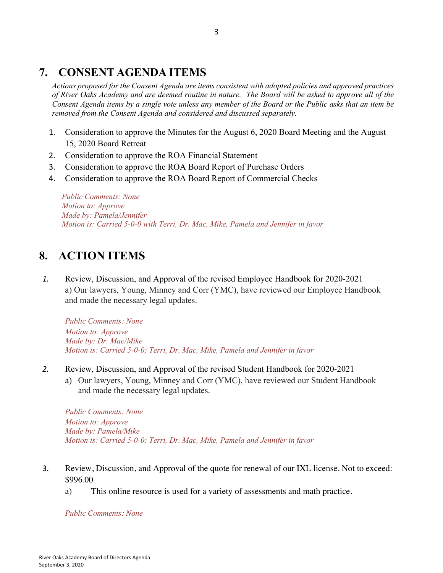## **7. CONSENT AGENDA ITEMS**

*Actions proposed for the Consent Agenda are items consistent with adopted policies and approved practices of River Oaks Academy and are deemed routine in nature. The Board will be asked to approve all of the Consent Agenda items by a single vote unless any member of the Board or the Public asks that an item be removed from the Consent Agenda and considered and discussed separately.*

- 1. Consideration to approve the Minutes for the August 6, 2020 Board Meeting and the August 15, 2020 Board Retreat
- 2. Consideration to approve the ROA Financial Statement
- 3. Consideration to approve the ROA Board Report of Purchase Orders
- 4. Consideration to approve the ROA Board Report of Commercial Checks

*Public Comments: None Motion to: Approve Made by: Pamela/Jennifer Motion is: Carried 5-0-0 with Terri, Dr. Mac, Mike, Pamela and Jennifer in favor*

### **8. ACTION ITEMS**

*1.* Review, Discussion, and Approval of the revised Employee Handbook for 2020-2021 a) Our lawyers, Young, Minney and Corr (YMC), have reviewed our Employee Handbook and made the necessary legal updates.

*Public Comments: None Motion to: Approve Made by: Dr. Mac/Mike Motion is: Carried 5-0-0; Terri, Dr. Mac, Mike, Pamela and Jennifer in favor*

- *2.* Review, Discussion, and Approval of the revised Student Handbook for 2020-2021
	- a) Our lawyers, Young, Minney and Corr (YMC), have reviewed our Student Handbook and made the necessary legal updates.

*Public Comments: None Motion to: Approve Made by: Pamela/Mike Motion is: Carried 5-0-0; Terri, Dr. Mac, Mike, Pamela and Jennifer in favor*

- 3. Review, Discussion, and Approval of the quote for renewal of our IXL license. Not to exceed: \$996.00
	- a) This online resource is used for a variety of assessments and math practice.

*Public Comments: None*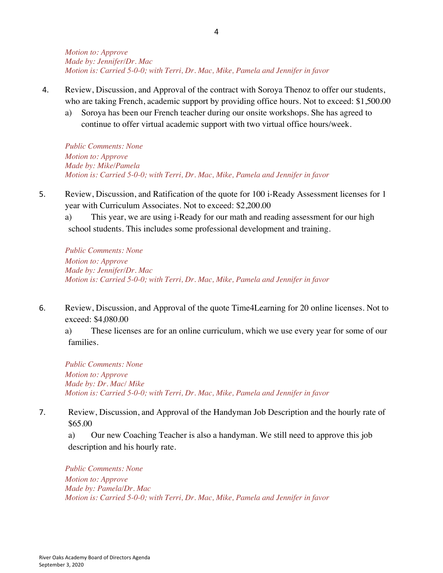*Motion to: Approve Made by: Jennifer/Dr. Mac Motion is: Carried 5-0-0; with Terri, Dr. Mac, Mike, Pamela and Jennifer in favor*

- 4. Review, Discussion, and Approval of the contract with Soroya Thenoz to offer our students, who are taking French, academic support by providing office hours. Not to exceed: \$1,500.00
	- a) Soroya has been our French teacher during our onsite workshops. She has agreed to continue to offer virtual academic support with two virtual office hours/week.

*Public Comments: None Motion to: Approve Made by: Mike/Pamela Motion is: Carried 5-0-0; with Terri, Dr. Mac, Mike, Pamela and Jennifer in favor*

5. Review, Discussion, and Ratification of the quote for 100 i-Ready Assessment licenses for 1 year with Curriculum Associates. Not to exceed: \$2,200.00

a) This year, we are using i-Ready for our math and reading assessment for our high school students. This includes some professional development and training.

*Public Comments: None Motion to: Approve Made by: Jennifer/Dr. Mac Motion is: Carried 5-0-0; with Terri, Dr. Mac, Mike, Pamela and Jennifer in favor*

6. Review, Discussion, and Approval of the quote Time4Learning for 20 online licenses. Not to exceed: \$4,080.00

a) These licenses are for an online curriculum, which we use every year for some of our families.

*Public Comments: None Motion to: Approve Made by: Dr. Mac/ Mike Motion is: Carried 5-0-0; with Terri, Dr. Mac, Mike, Pamela and Jennifer in favor* 

7. Review, Discussion, and Approval of the Handyman Job Description and the hourly rate of \$65.00

a) Our new Coaching Teacher is also a handyman. We still need to approve this job description and his hourly rate.

*Public Comments: None Motion to: Approve Made by: Pamela/Dr. Mac Motion is: Carried 5-0-0; with Terri, Dr. Mac, Mike, Pamela and Jennifer in favor*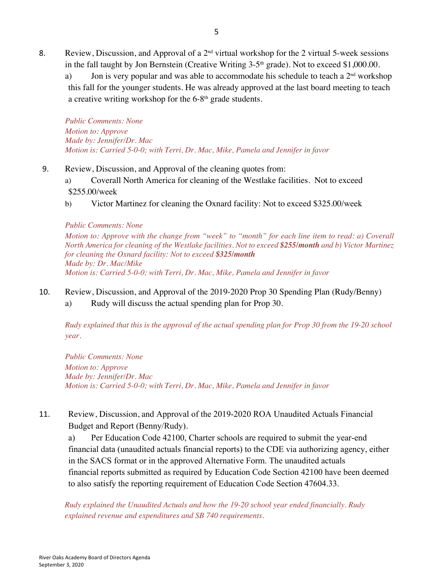- 8. Review, Discussion, and Approval of a  $2<sup>nd</sup>$  virtual workshop for the 2 virtual 5-week sessions in the fall taught by Jon Bernstein (Creative Writing  $3-5<sup>th</sup>$  grade). Not to exceed \$1,000.00.
	- a) Jon is very popular and was able to accommodate his schedule to teach a  $2<sup>nd</sup>$  workshop this fall for the younger students. He was already approved at the last board meeting to teach a creative writing workshop for the 6-8<sup>th</sup> grade students.

*Public Comments: None Motion to: Approve Made by: Jennifer/Dr. Mac Motion is: Carried 5-0-0; with Terri, Dr. Mac, Mike, Pamela and Jennifer in favor*

- 9. Review, Discussion, and Approval of the cleaning quotes from:
	- a) Coverall North America for cleaning of the Westlake facilities. Not to exceed \$255.00/week
	- b) Victor Martinez for cleaning the Oxnard facility: Not to exceed \$325.00/week

#### *Public Comments: None*

*Motion to: Approve with the change from "week" to "month" for each line item to read: a) Coverall North America for cleaning of the Westlake facilities. Not to exceed \$255/month and b) Victor Martinez for cleaning the Oxnard facility: Not to exceed \$325/month Made by: Dr. Mac/Mike Motion is: Carried 5-0-0; with Terri, Dr. Mac, Mike, Pamela and Jennifer in favor*

- 10. Review, Discussion, and Approval of the 2019-2020 Prop 30 Spending Plan (Rudy/Benny)
	- a) Rudy will discuss the actual spending plan for Prop 30.

*Rudy explained that this is the approval of the actual spending plan for Prop 30 from the 19-20 school year.* 

*Public Comments: None Motion to: Approve Made by: Jennifer/Dr. Mac Motion is: Carried 5-0-0; with Terri, Dr. Mac, Mike, Pamela and Jennifer in favor*

11. Review, Discussion, and Approval of the 2019-2020 ROA Unaudited Actuals Financial Budget and Report (Benny/Rudy).

a) Per Education Code 42100, Charter schools are required to submit the year-end financial data (unaudited actuals financial reports) to the CDE via authorizing agency, either in the SACS format or in the approved Alternative Form. The unaudited actuals financial reports submitted as required by Education Code Section 42100 have been deemed to also satisfy the reporting requirement of Education Code Section 47604.33.

*Rudy explained the Unaudited Actuals and how the 19-20 school year ended financially. Rudy explained revenue and expenditures and SB 740 requirements.*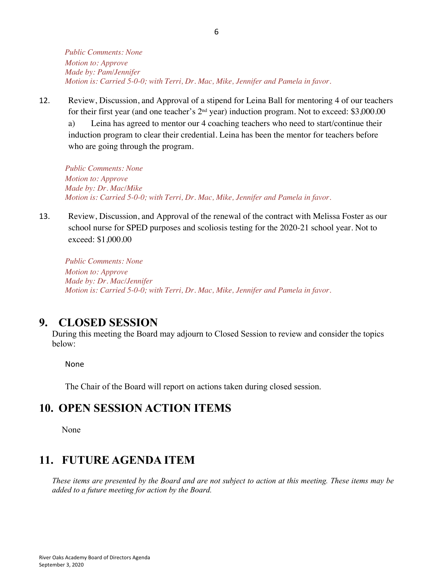*Public Comments: None Motion to: Approve Made by: Pam/Jennifer Motion is: Carried 5-0-0; with Terri, Dr. Mac, Mike, Jennifer and Pamela in favor.* 

12. Review, Discussion, and Approval of a stipend for Leina Ball for mentoring 4 of our teachers for their first year (and one teacher's 2<sup>nd</sup> year) induction program. Not to exceed: \$3,000.00 a) Leina has agreed to mentor our 4 coaching teachers who need to start/continue their induction program to clear their credential. Leina has been the mentor for teachers before who are going through the program.

*Public Comments: None Motion to: Approve Made by: Dr. Mac/Mike Motion is: Carried 5-0-0; with Terri, Dr. Mac, Mike, Jennifer and Pamela in favor.* 

13. Review, Discussion, and Approval of the renewal of the contract with Melissa Foster as our school nurse for SPED purposes and scoliosis testing for the 2020-21 school year. Not to exceed: \$1,000.00

*Public Comments: None Motion to: Approve Made by: Dr. Mac/Jennifer Motion is: Carried 5-0-0; with Terri, Dr. Mac, Mike, Jennifer and Pamela in favor.* 

#### **9. CLOSED SESSION**

During this meeting the Board may adjourn to Closed Session to review and consider the topics below:

None

The Chair of the Board will report on actions taken during closed session.

### **10. OPEN SESSION ACTION ITEMS**

None

# **11. FUTURE AGENDA ITEM**

*These items are presented by the Board and are not subject to action at this meeting. These items may be added to a future meeting for action by the Board.*